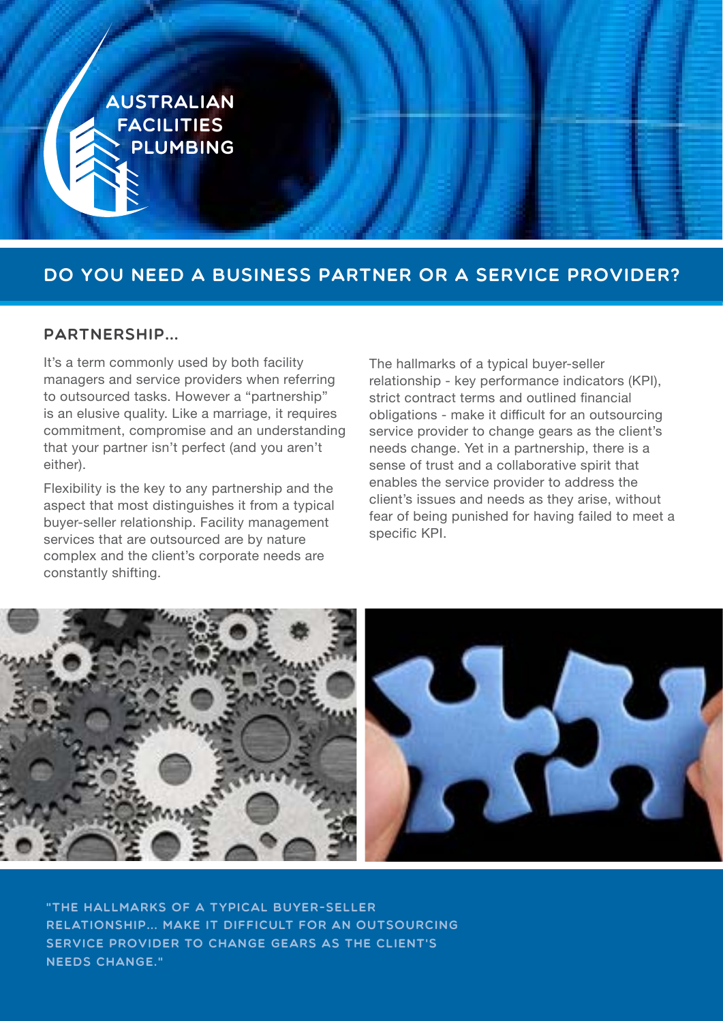

## DO YOU NEED A BUSINESS PARTNER OR A SERVICE PROVIDER?

#### Partnership...

It's a term commonly used by both facility managers and service providers when referring to outsourced tasks. However a "partnership" is an elusive quality. Like a marriage, it requires commitment, compromise and an understanding that your partner isn't perfect (and you aren't either).

Flexibility is the key to any partnership and the aspect that most distinguishes it from a typical buyer-seller relationship. Facility management services that are outsourced are by nature complex and the client's corporate needs are constantly shifting.

The hallmarks of a typical buyer-seller relationship - key performance indicators (KPI), strict contract terms and outlined financial obligations - make it difficult for an outsourcing service provider to change gears as the client's needs change. Yet in a partnership, there is a sense of trust and a collaborative spirit that enables the service provider to address the client's issues and needs as they arise, without fear of being punished for having failed to meet a specific KPI.



"The hallmarks of a typical buyer-seller relationship... make it difficult for an outsourcing service provider to change gears as the client's needs change."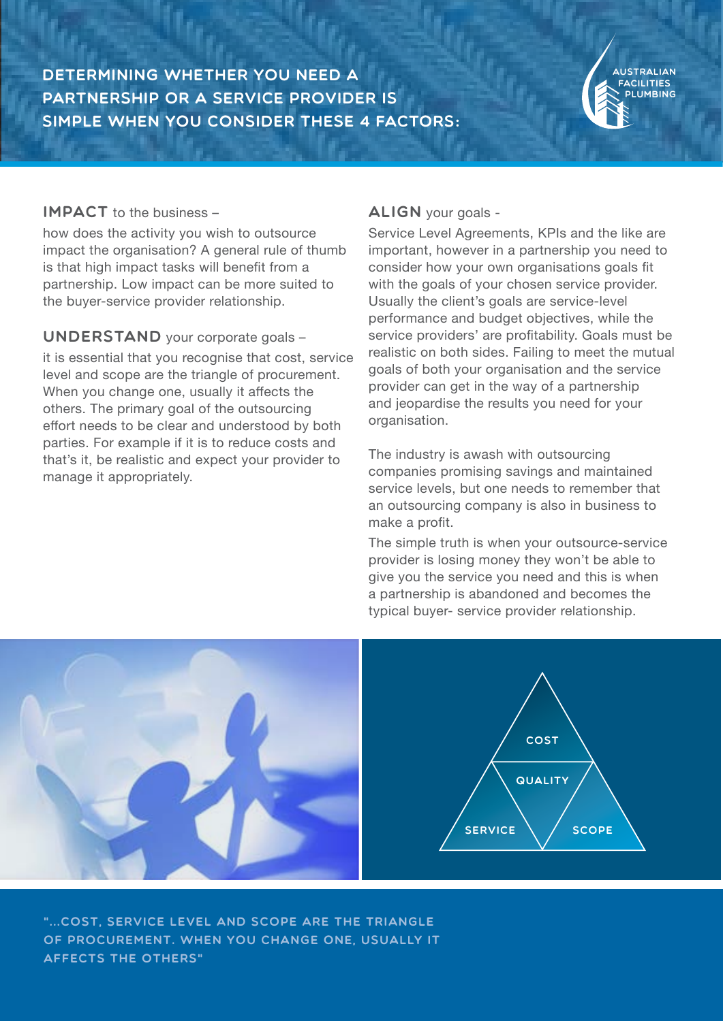Determining whether you need a partnership or a service provider is simple when you consider these 4 factors:

#### IMPACT to the business -

how does the activity you wish to outsource impact the organisation? A general rule of thumb is that high impact tasks will benefit from a partnership. Low impact can be more suited to the buyer-service provider relationship.

#### UNDERSTAND your corporate goals -

it is essential that you recognise that cost, service level and scope are the triangle of procurement. When you change one, usually it affects the others. The primary goal of the outsourcing effort needs to be clear and understood by both parties. For example if it is to reduce costs and that's it, be realistic and expect your provider to manage it appropriately.

#### ALIGN your goals -

Service Level Agreements, KPIs and the like are important, however in a partnership you need to consider how your own organisations goals fit with the goals of your chosen service provider. Usually the client's goals are service-level performance and budget objectives, while the service providers' are profitability. Goals must be realistic on both sides. Failing to meet the mutual goals of both your organisation and the service provider can get in the way of a partnership and jeopardise the results you need for your organisation.

The industry is awash with outsourcing companies promising savings and maintained service levels, but one needs to remember that an outsourcing company is also in business to make a profit.

The simple truth is when your outsource-service provider is losing money they won't be able to give you the service you need and this is when a partnership is abandoned and becomes the typical buyer- service provider relationship.



"...cost, service level and scope are the triangle of procurement. When you change one, usually it affects the others"